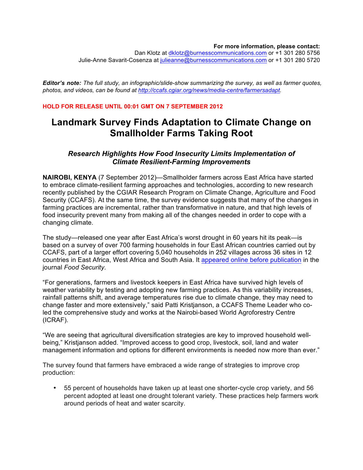#### **For more information, please contact:**

Dan Klotz at dklotz@burnesscommunications.com or +1 301 280 5756 Julie-Anne Savarit-Cosenza at julieanne@burnesscommunications.com or +1 301 280 5720

*Editor's note: The full study, an infographic/slide-show summarizing the survey, as well as farmer quotes, photos, and videos, can be found at http://ccafs.cgiar.org/news/media-centre/farmersadapt.*

#### **HOLD FOR RELEASE UNTIL 00:01 GMT ON 7 SEPTEMBER 2012**

# **Landmark Survey Finds Adaptation to Climate Change on Smallholder Farms Taking Root**

# *Research Highlights How Food Insecurity Limits Implementation of Climate Resilient-Farming Improvements*

**NAIROBI, KENYA** (7 September 2012)—Smallholder farmers across East Africa have started to embrace climate-resilient farming approaches and technologies, according to new research recently published by the CGIAR Research Program on Climate Change, Agriculture and Food Security (CCAFS). At the same time, the survey evidence suggests that many of the changes in farming practices are incremental, rather than transformative in nature, and that high levels of food insecurity prevent many from making all of the changes needed in order to cope with a changing climate.

The study—released one year after East Africa's worst drought in 60 years hit its peak—is based on a survey of over 700 farming households in four East African countries carried out by CCAFS, part of a larger effort covering 5,040 households in 252 villages across 36 sites in 12 countries in East Africa, West Africa and South Asia. It appeared online before publication in the journal *Food Security*.

"For generations, farmers and livestock keepers in East Africa have survived high levels of weather variability by testing and adopting new farming practices. As this variability increases, rainfall patterns shift, and average temperatures rise due to climate change, they may need to change faster and more extensively," said Patti Kristjanson, a CCAFS Theme Leader who coled the comprehensive study and works at the Nairobi-based World Agroforestry Centre (ICRAF).

"We are seeing that agricultural diversification strategies are key to improved household wellbeing," Kristjanson added. "Improved access to good crop, livestock, soil, land and water management information and options for different environments is needed now more than ever."

The survey found that farmers have embraced a wide range of strategies to improve crop production:

• 55 percent of households have taken up at least one shorter-cycle crop variety, and 56 percent adopted at least one drought tolerant variety. These practices help farmers work around periods of heat and water scarcity.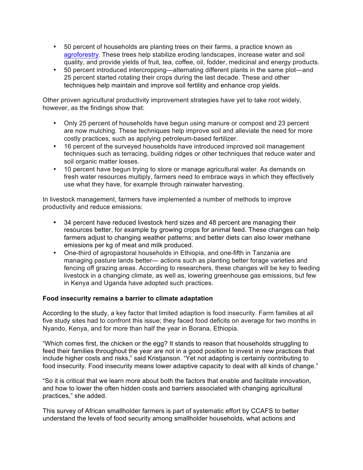- 50 percent of households are planting trees on their farms, a practice known as agroforestry. These trees help stabilize eroding landscapes, increase water and soil quality, and provide yields of fruit, tea, coffee, oil, fodder, medicinal and energy products.
- 50 percent introduced intercropping—alternating different plants in the same plot—and 25 percent started rotating their crops during the last decade. These and other techniques help maintain and improve soil fertility and enhance crop yields.

Other proven agricultural productivity improvement strategies have yet to take root widely, however, as the findings show that:

- Only 25 percent of households have begun using manure or compost and 23 percent are now mulching. These techniques help improve soil and alleviate the need for more costly practices, such as applying petroleum-based fertilizer.
- 16 percent of the surveyed households have introduced improved soil management techniques such as terracing, building ridges or other techniques that reduce water and soil organic matter losses.
- 10 percent have begun trying to store or manage agricultural water. As demands on fresh water resources multiply, farmers need to embrace ways in which they effectively use what they have, for example through rainwater harvesting.

In livestock management, farmers have implemented a number of methods to improve productivity and reduce emissions:

- 34 percent have reduced livestock herd sizes and 48 percent are managing their resources better, for example by growing crops for animal feed. These changes can help farmers adjust to changing weather patterns; and better diets can also lower methane emissions per kg of meat and milk produced.
- One-third of agropastoral households in Ethiopia, and one-fifth in Tanzania are managing pasture lands better— actions such as planting better forage varieties and fencing off grazing areas. According to researchers, these changes will be key to feeding livestock in a changing climate, as well as, lowering greenhouse gas emissions, but few in Kenya and Uganda have adopted such practices.

## **Food insecurity remains a barrier to climate adaptation**

According to the study, a key factor that limited adaption is food insecurity. Farm families at all five study sites had to confront this issue; they faced food deficits on average for two months in Nyando, Kenya, and for more than half the year in Borana, Ethiopia.

"Which comes first, the chicken or the egg? It stands to reason that households struggling to feed their families throughout the year are not in a good position to invest in new practices that include higher costs and risks," said Kristjanson. "Yet not adapting is certainly contributing to food insecurity. Food insecurity means lower adaptive capacity to deal with all kinds of change."

"So it is critical that we learn more about both the factors that enable and facilitate innovation, and how to lower the often hidden costs and barriers associated with changing agricultural practices," she added.

This survey of African smallholder farmers is part of systematic effort by CCAFS to better understand the levels of food security among smallholder households, what actions and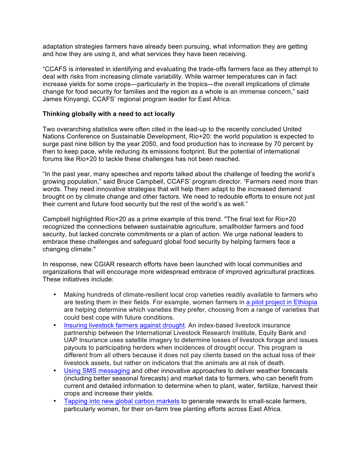adaptation strategies farmers have already been pursuing, what information they are getting and how they are using it, and what services they have been receiving.

"CCAFS is interested in identifying and evaluating the trade-offs farmers face as they attempt to deal with risks from increasing climate variability. While warmer temperatures can in fact increase yields for some crops—particularly in the tropics—the overall implications of climate change for food security for families and the region as a whole is an immense concern," said James Kinyangi, CCAFS' regional program leader for East Africa.

## **Thinking globally with a need to act locally**

Two overarching statistics were often cited in the lead-up to the recently concluded United Nations Conference on Sustainable Development, Rio+20: the world population is expected to surge past nine billion by the year 2050, and food production has to increase by 70 percent by then to keep pace, while reducing its emissions footprint. But the potential of international forums like Rio+20 to tackle these challenges has not been reached.

"In the past year, many speeches and reports talked about the challenge of feeding the world's growing population," said Bruce Campbell, CCAFS' program director. "Farmers need more than words. They need innovative strategies that will help them adapt to the increased demand brought on by climate change and other factors. We need to redouble efforts to ensure not just their current and future food security but the rest of the world's as well."

Campbell highlighted Rio+20 as a prime example of this trend. "The final text for Rio+20 recognized the connections between sustainable agriculture, smallholder farmers and food security, but lacked concrete commitments or a plan of action. We urge national leaders to embrace these challenges and safeguard global food security by helping farmers face a changing climate."

In response, new CGIAR research efforts have been launched with local communities and organizations that will encourage more widespread embrace of improved agricultural practices. These initiatives include:

- Making hundreds of climate-resilient local crop varieties readily available to farmers who are testing them in their fields. For example, women farmers in a pilot project in Ethiopia are helping determine which varieties they prefer, choosing from a range of varieties that could best cope with future conditions.
- Insuring livestock farmers against drought. An index-based livestock insurance partnership between the International Livestock Research Institute, Equity Bank and UAP Insurance uses satellite imagery to determine losses of livestock forage and issues payouts to participating herders when incidences of drought occur. This program is different from all others because it does not pay clients based on the actual loss of their livestock assets, but rather on indicators that the animals are at risk of death.
- Using SMS messaging and other innovative approaches to deliver weather forecasts (including better seasonal forecasts) and market data to farmers, who can benefit from current and detailed information to determine when to plant, water, fertilize, harvest their crops and increase their yields.
- Tapping into new global carbon markets to generate rewards to small-scale farmers, particularly women, for their on-farm tree planting efforts across East Africa.